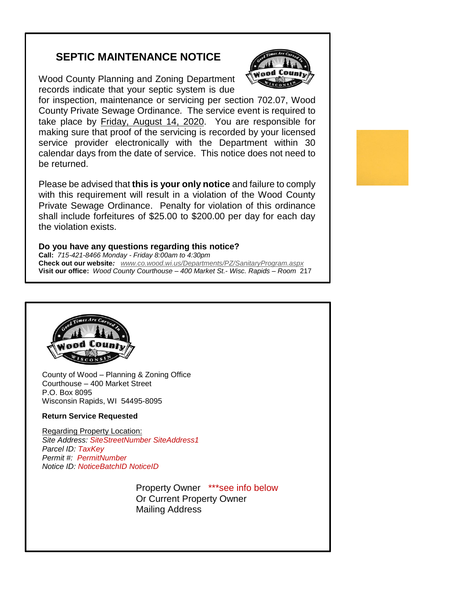## **SEPTIC MAINTENANCE NOTICE**

Wood County Planning and Zoning Department records indicate that your septic system is due



for inspection, maintenance or servicing per section 702.07, Wood County Private Sewage Ordinance*.* The service event is required to take place by Friday, August 14, 2020. You are responsible for making sure that proof of the servicing is recorded by your licensed service provider electronically with the Department within 30 calendar days from the date of service. This notice does not need to be returned.

Please be advised that **this is your only notice** and failure to comply with this requirement will result in a violation of the Wood County Private Sewage Ordinance. Penalty for violation of this ordinance shall include forfeitures of \$25.00 to \$200.00 per day for each day the violation exists.

## **Do you have any questions regarding this notice?**

**Call:** *715-421-8466 Monday - Friday 8:00am to 4:30pm* **Check out our website***: [www.co.wood.wi.us/Departments/PZ/SanitaryProgram.aspx](http://www.co.wood.wi.us/Departments/PZ/CodeEnforcement.aspx)* **Visit our office:** *Wood County Courthouse – 400 Market St.- Wisc. Rapids – Room* 217



l

County of Wood – Planning & Zoning Office Courthouse – 400 Market Street P.O. Box 8095 Wisconsin Rapids, WI 54495-8095

## **Return Service Requested**

Regarding Property Location: *Site Address: SiteStreetNumber SiteAddress1 Parcel ID: TaxKey Permit #: PermitNumber Notice ID: NoticeBatchID NoticeID*

recorded by your licensed service provider electronically with the

**Property Owner \*\*\*see info below Mailing Address** in the Mailing Address Or Current Property Owner